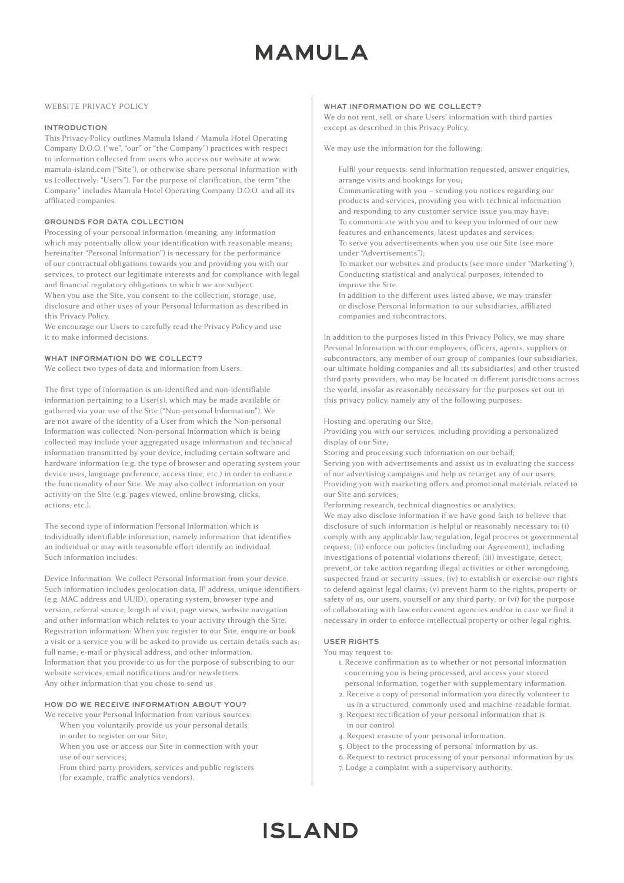# **MAMUIA**

### WEBSITE PRIVACY POLICY

#### INTRODUCTION

This Privacy Policy outlines Mamula Island / Mamula Hotel Operating Company D.O.O. ("we", "our" or "the Company") practices with respect to information collected from users who access our website at www. mamula-island.com ("Site"), or otherwise share personal information with us (collectively: "Users"). For the purpose of clarification, the term "the Company" includes Mamula Hotel Operating Company D.O.O. and all its affiliated companies.

#### GROUNDS FOR DATA COLLECTION

Processing of your personal information (meaning, any information which may potentially allow your identification with reasonable means; hereinafter "Personal Information") is necessary for the performance of our contractual obligations towards you and providing you with our services, to protect our legitimate interests and for compliance with legal and financial regulatory obligations to which we are subject. When you use the Site, you consent to the collection, storage, use, disclosure and other uses of your Personal Information as described in this Privacy Policy.

We encourage our Users to carefully read the Privacy Policy and use it to make informed decisions.

#### WHAT INFORMATION DO WE COLLECT?

We collect two types of data and information from Users.

The first type of information is un-identified and non-identifiable information pertaining to a User(s), which may be made available or gathered via your use of the Site ("Non-personal Information"). We are not aware of the identity of a User from which the Non-personal Information was collected. Non-personal Information which is being collected may include your aggregated usage information and technical information transmitted by your device, including certain software and hardware information (e.g. the type of browser and operating system your device uses, language preference, access time, etc.) in order to enhance the functionality of our Site. We may also collect information on your activity on the Site (e.g. pages viewed, online browsing, clicks, actions, etc.).

The second type of information Personal Information which is individually identifiable information, namely information that identifies an individual or may with reasonable effort identify an individual. Such information includes:

Device Information: We collect Personal Information from your device. Such information includes geolocation data, IP address, unique identifiers (e.g. MAC address and UUID), operating system, browser type and version, referral source, length of visit, page views, website navigation and other information which relates to your activity through the Site. Registration information: When you register to our Site, enquire or book a visit or a service you will be asked to provide us certain details such as: full name; e-mail or physical address, and other information. Information that you provide to us for the purpose of subscribing to our website services, email notifications and/or newsletters Any other information that you chose to send us

## HOW DO WE RECEIVE INFORMATION ABOUT YOU?

- We receive your Personal Information from various sources: When you voluntarily provide us your personal details in order to register on our Site;
	- When you use or access our Site in connection with your use of our services;
	- From third party providers, services and public registers (for example, traffic analytics vendors).

#### WHAT INFORMATION DO WE COLLECT?

We do not rent, sell, or share Users' information with third parties except as described in this Privacy Policy.

We may use the information for the following:

Fulfil your requests: send information requested, answer enquiries, arrange visits and bookings for you;

Communicating with you – sending you notices regarding our products and services, providing you with technical information and responding to any customer service issue you may have; To communicate with you and to keep you informed of our new features and enhancements, latest updates and services; To serve you advertisements when you use our Site (see more under "Advertisements");

To market our websites and products (see more under "Marketing"); Conducting statistical and analytical purposes, intended to improve the Site.

In addition to the different uses listed above, we may transfer or disclose Personal Information to our subsidiaries, affiliated companies and subcontractors.

In addition to the purposes listed in this Privacy Policy, we may share Personal Information with our employees, officers, agents, suppliers or subcontractors, any member of our group of companies (our subsidiaries, our ultimate holding companies and all its subsidiaries) and other trusted third party providers, who may be located in different jurisdictions across the world, insofar as reasonably necessary for the purposes set out in this privacy policy, namely any of the following purposes:

#### Hosting and operating our Site;

Providing you with our services, including providing a personalized display of our Site;

Storing and processing such information on our behalf;

Serving you with advertisements and assist us in evaluating the success of our advertising campaigns and help us retarget any of our users; Providing you with marketing offers and promotional materials related to our Site and services;

Performing research, technical diagnostics or analytics; We may also disclose information if we have good faith to believe that disclosure of such information is helpful or reasonably necessary to: (i) comply with any applicable law, regulation, legal process or governmental request; (ii) enforce our policies (including our Agreement), including investigations of potential violations thereof; (iii) investigate, detect, prevent, or take action regarding illegal activities or other wrongdoing, suspected fraud or security issues; (iv) to establish or exercise our rights to defend against legal claims; (v) prevent harm to the rights, property or safety of us, our users, yourself or any third party; or (vi) for the purpose of collaborating with law enforcement agencies and/or in case we find it necessary in order to enforce intellectual property or other legal rights.

#### USER RIGHTS

You may request to:

- 1. Receive confirmation as to whether or not personal information concerning you is being processed, and access your stored personal information, together with supplementary information.
- 2. Receive a copy of personal information you directly volunteer to us in a structured, commonly used and machine-readable format.
- 3. Request rectification of your personal information that is in our control.
- 4. Request erasure of your personal information.
- 5. Object to the processing of personal information by us.
- 6. Request to restrict processing of your personal information by us.
- 7. Lodge a complaint with a supervisory authority.

# **ISLAND**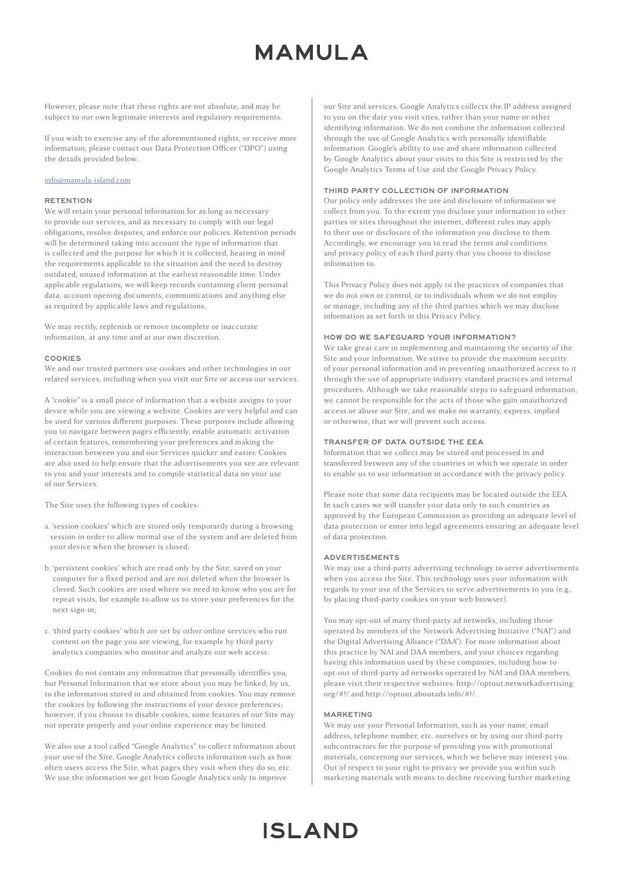# **MAMUIA**

However, please note that these rights are not absolute, and may be subject to our own legitimate interests and regulatory requirements.

If you wish to exercise any of the aforementioned rights, or receive more information, please contact our Data Protection Officer ("DPO") using the details provided below:

## [info@mamula-island.com](mailto:info%40mamula-island.com?subject=)

## **RETENTION**

We will retain your personal information for as long as necessary to provide our services, and as necessary to comply with our legal obligations, resolve disputes, and enforce our policies. Retention periods will be determined taking into account the type of information that is collected and the purpose for which it is collected, bearing in mind the requirements applicable to the situation and the need to destroy outdated, unused information at the earliest reasonable time. Under applicable regulations, we will keep records containing client personal data, account opening documents, communications and anything else as required by applicable laws and regulations.

We may rectify, replenish or remove incomplete or inaccurate information, at any time and at our own discretion.

#### COOKIES

We and our trusted partners use cookies and other technologies in our related services, including when you visit our Site or access our services.

A "cookie" is a small piece of information that a website assigns to your device while you are viewing a website. Cookies are very helpful and can be used for various different purposes. These purposes include allowing you to navigate between pages efficiently, enable automatic activation of certain features, remembering your preferences and making the interaction between you and our Services quicker and easier. Cookies are also used to help ensure that the advertisements you see are relevant to you and your interests and to compile statistical data on your use of our Services.

The Site uses the following types of cookies:

- a. 'session cookies' which are stored only temporarily during a browsing session in order to allow normal use of the system and are deleted from your device when the browser is closed;
- b. 'persistent cookies' which are read only by the Site, saved on your computer for a fixed period and are not deleted when the browser is closed. Such cookies are used where we need to know who you are for repeat visits, for example to allow us to store your preferences for the next sign-in;
- c. 'third party cookies' which are set by other online services who run content on the page you are viewing, for example by third party analytics companies who monitor and analyze our web access.

Cookies do not contain any information that personally identifies you, but Personal Information that we store about you may be linked, by us, to the information stored in and obtained from cookies. You may remove the cookies by following the instructions of your device preferences; however, if you choose to disable cookies, some features of our Site may not operate properly and your online experience may be limited.

We also use a tool called "Google Analytics" to collect information about your use of the Site. Google Analytics collects information such as how often users access the Site, what pages they visit when they do so, etc. We use the information we get from Google Analytics only to improve

our Site and services. Google Analytics collects the IP address assigned to you on the date you visit sites, rather than your name or other identifying information. We do not combine the information collected through the use of Google Analytics with personally identifiable information. Google's ability to use and share information collected by Google Analytics about your visits to this Site is restricted by the Google Analytics Terms of Use and the Google Privacy Policy.

#### THIRD PARTY COLLECTION OF INFORMATION

Our policy only addresses the use and disclosure of information we collect from you. To the extent you disclose your information to other parties or sites throughout the internet, different rules may apply to their use or disclosure of the information you disclose to them. Accordingly, we encourage you to read the terms and conditions and privacy policy of each third party that you choose to disclose information to.

This Privacy Policy does not apply to the practices of companies that we do not own or control, or to individuals whom we do not employ or manage, including any of the third parties which we may disclose information as set forth in this Privacy Policy.

#### HOW DO WE SAFEGUARD YOUR INFORMATION?

We take great care in implementing and maintaining the security of the Site and your information. We strive to provide the maximum security of your personal information and in preventing unauthorized access to it through the use of appropriate industry standard practices and internal procedures. Although we take reasonable steps to safeguard information, we cannot be responsible for the acts of those who gain unauthorized access or abuse our Site, and we make no warranty, express, implied or otherwise, that we will prevent such access.

### TRANSFER OF DATA OUTSIDE THE EEA

Information that we collect may be stored and processed in and transferred between any of the countries in which we operate in order to enable us to use information in accordance with the privacy policy.

Please note that some data recipients may be located outside the EEA. In such cases we will transfer your data only to such countries as approved by the European Commission as providing an adequate level of data protection or enter into legal agreements ensuring an adequate level of data protection.

## ADVERTISEMENTS

We may use a third-party advertising technology to serve advertisements when you access the Site. This technology uses your information with regards to your use of the Services to serve advertisements to you (e.g., by placing third-party cookies on your web browser).

You may opt-out of many third-party ad networks, including those operated by members of the Network Advertising Initiative ("NAI") and the Digital Advertising Alliance ("DAA"). For more information about this practice by NAI and DAA members, and your choices regarding having this information used by these companies, including how to opt-out of third-party ad networks operated by NAI and DAA members, please visit their respective websites: http://optout.networkadvertising. org/#!/ and http://optout.aboutads.info/#!/.

### MARKETING

We may use your Personal Information, such as your name, email address, telephone number, etc. ourselves or by using our third-party subcontractors for the purpose of providing you with promotional materials, concerning our services, which we believe may interest you. Out of respect to your right to privacy we provide you within such marketing materials with means to decline receiving further marketing

# **ISLAND**